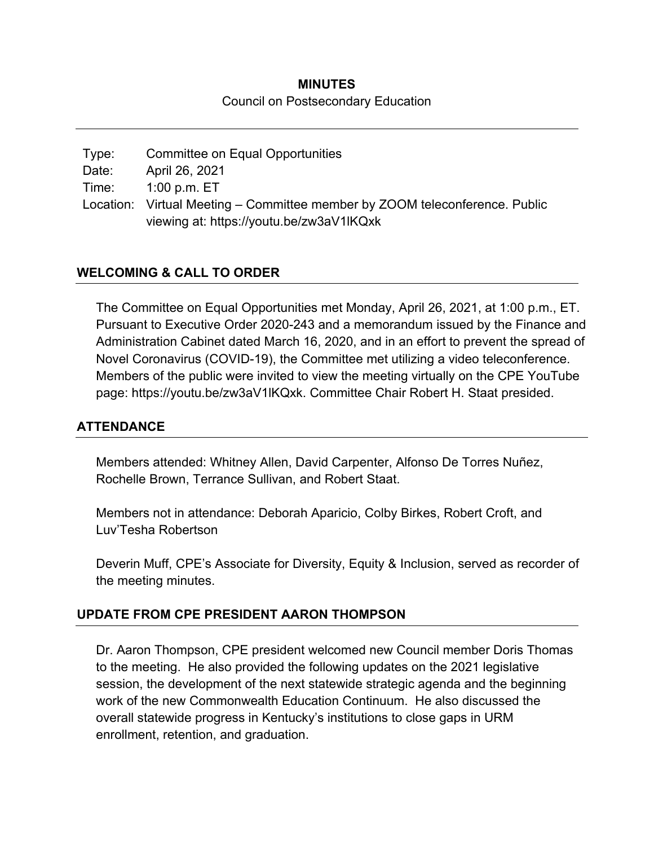# **MINUTES**  Council on Postsecondary Education

Type: Committee on Equal Opportunities Date: April 26, 2021 Time: 1:00 p.m. ET Location: Virtual Meeting – Committee member by ZOOM teleconference. Public viewing at: https://youtu.be/zw3aV1lKQxk

## **WELCOMING & CALL TO ORDER**

The Committee on Equal Opportunities met Monday, April 26, 2021, at 1:00 p.m., ET. Pursuant to Executive Order 2020-243 and a memorandum issued by the Finance and Administration Cabinet dated March 16, 2020, and in an effort to prevent the spread of Novel Coronavirus (COVID-19), the Committee met utilizing a video teleconference. Members of the public were invited to view the meeting virtually on the CPE YouTube page: https://youtu.be/zw3aV1lKQxk. Committee Chair Robert H. Staat presided.

#### **ATTENDANCE**

Members attended: Whitney Allen, David Carpenter, Alfonso De Torres Nuñez, Rochelle Brown, Terrance Sullivan, and Robert Staat.

Members not in attendance: Deborah Aparicio, Colby Birkes, Robert Croft, and Luv'Tesha Robertson

Deverin Muff, CPE's Associate for Diversity, Equity & Inclusion, served as recorder of the meeting minutes.

#### **UPDATE FROM CPE PRESIDENT AARON THOMPSON**

Dr. Aaron Thompson, CPE president welcomed new Council member Doris Thomas to the meeting. He also provided the following updates on the 2021 legislative session, the development of the next statewide strategic agenda and the beginning work of the new Commonwealth Education Continuum. He also discussed the overall statewide progress in Kentucky's institutions to close gaps in URM enrollment, retention, and graduation.